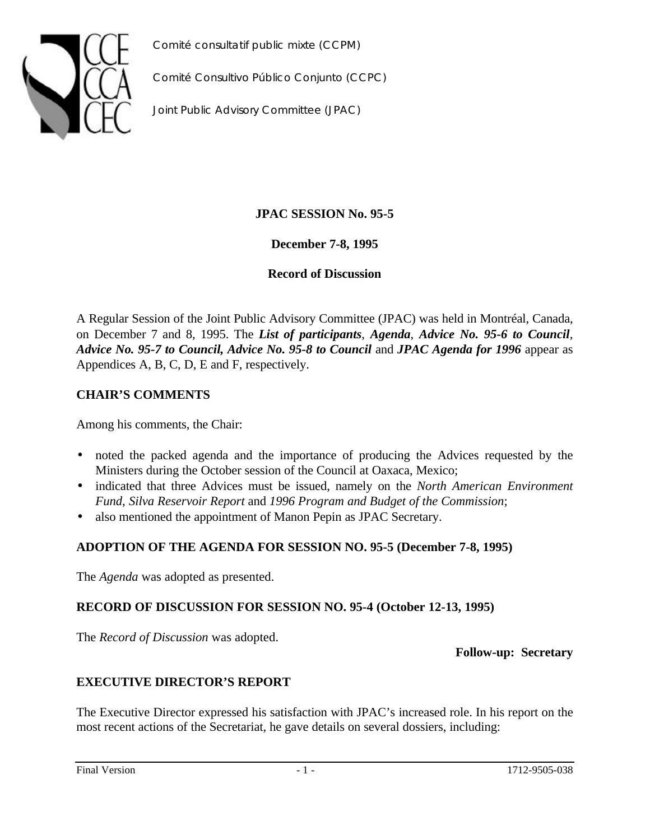



*Comité Consultivo Público Conjunto (CCPC)*

*Joint Public Advisory Committee (JPAC)*

# **JPAC SESSION No. 95-5**

**December 7-8, 1995**

**Record of Discussion**

A Regular Session of the Joint Public Advisory Committee (JPAC) was held in Montréal, Canada, on December 7 and 8, 1995. The *List of participants*, *Agenda*, *Advice No. 95-6 to Council*, *Advice No. 95-7 to Council, Advice No. 95-8 to Council* and *JPAC Agenda for 1996* appear as Appendices A, B, C, D, E and F, respectively.

# **CHAIR'S COMMENTS**

Among his comments, the Chair:

- noted the packed agenda and the importance of producing the Advices requested by the Ministers during the October session of the Council at Oaxaca, Mexico;
- indicated that three Advices must be issued, namely on the *North American Environment Fund*, *Silva Reservoir Report* and *1996 Program and Budget of the Commission*;
- also mentioned the appointment of Manon Pepin as JPAC Secretary.

# **ADOPTION OF THE AGENDA FOR SESSION NO. 95-5 (December 7-8, 1995)**

The *Agenda* was adopted as presented.

# **RECORD OF DISCUSSION FOR SESSION NO. 95-4 (October 12-13, 1995)**

The *Record of Discussion* was adopted.

**Follow-up: Secretary**

# **EXECUTIVE DIRECTOR'S REPORT**

The Executive Director expressed his satisfaction with JPAC's increased role. In his report on the most recent actions of the Secretariat, he gave details on several dossiers, including: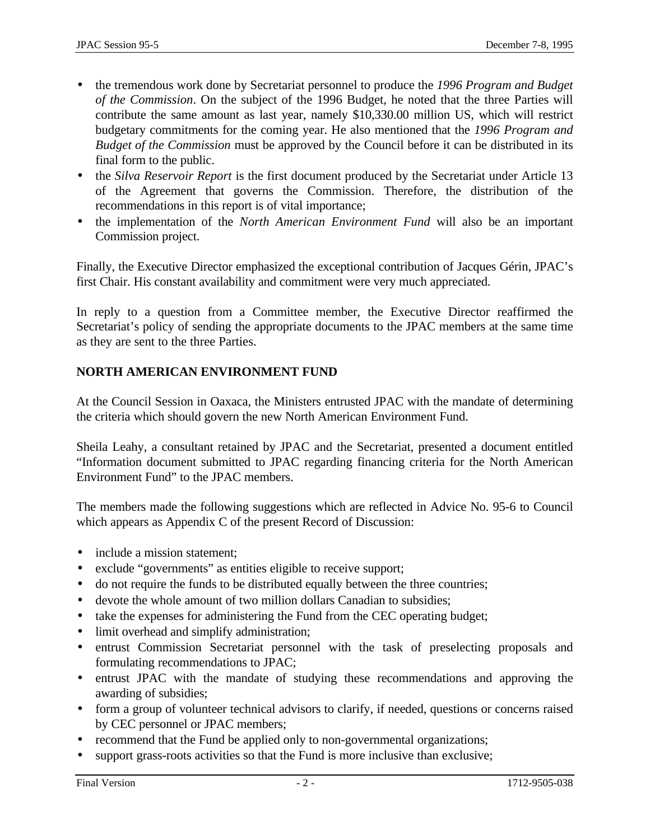- the tremendous work done by Secretariat personnel to produce the *1996 Program and Budget of the Commission*. On the subject of the 1996 Budget, he noted that the three Parties will contribute the same amount as last year, namely \$10,330.00 million US, which will restrict budgetary commitments for the coming year. He also mentioned that the *1996 Program and Budget of the Commission* must be approved by the Council before it can be distributed in its final form to the public.
- the *Silva Reservoir Report* is the first document produced by the Secretariat under Article 13 of the Agreement that governs the Commission. Therefore, the distribution of the recommendations in this report is of vital importance;
- the implementation of the *North American Environment Fund* will also be an important Commission project.

Finally, the Executive Director emphasized the exceptional contribution of Jacques Gérin, JPAC's first Chair. His constant availability and commitment were very much appreciated.

In reply to a question from a Committee member, the Executive Director reaffirmed the Secretariat's policy of sending the appropriate documents to the JPAC members at the same time as they are sent to the three Parties.

# **NORTH AMERICAN ENVIRONMENT FUND**

At the Council Session in Oaxaca, the Ministers entrusted JPAC with the mandate of determining the criteria which should govern the new North American Environment Fund.

Sheila Leahy, a consultant retained by JPAC and the Secretariat, presented a document entitled "Information document submitted to JPAC regarding financing criteria for the North American Environment Fund" to the JPAC members.

The members made the following suggestions which are reflected in Advice No. 95-6 to Council which appears as Appendix C of the present Record of Discussion:

- include a mission statement;
- exclude "governments" as entities eligible to receive support;
- do not require the funds to be distributed equally between the three countries;
- devote the whole amount of two million dollars Canadian to subsidies;
- take the expenses for administering the Fund from the CEC operating budget;
- limit overhead and simplify administration;
- entrust Commission Secretariat personnel with the task of preselecting proposals and formulating recommendations to JPAC;
- entrust JPAC with the mandate of studying these recommendations and approving the awarding of subsidies;
- form a group of volunteer technical advisors to clarify, if needed, questions or concerns raised by CEC personnel or JPAC members;
- recommend that the Fund be applied only to non-governmental organizations;
- support grass-roots activities so that the Fund is more inclusive than exclusive;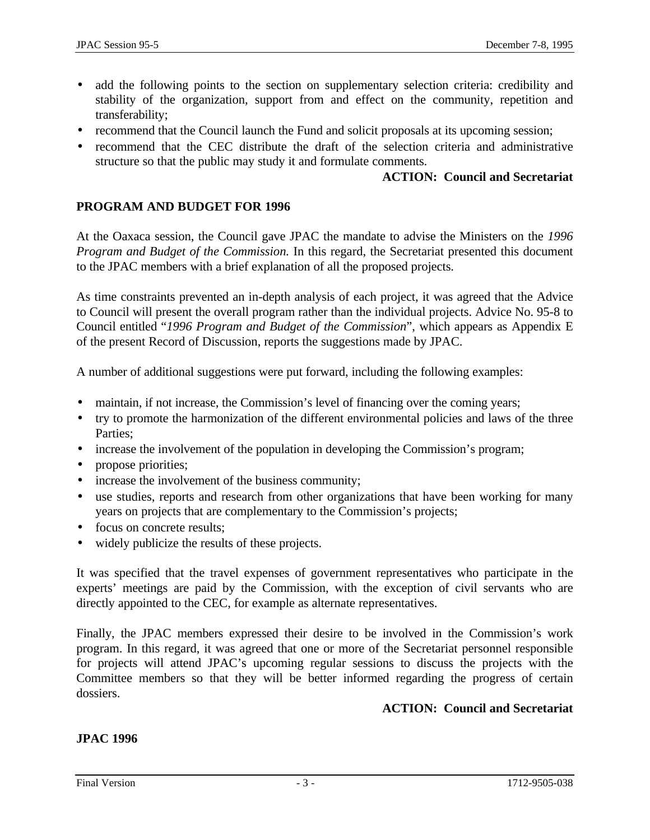- add the following points to the section on supplementary selection criteria: credibility and stability of the organization, support from and effect on the community, repetition and transferability;
- recommend that the Council launch the Fund and solicit proposals at its upcoming session;
- recommend that the CEC distribute the draft of the selection criteria and administrative structure so that the public may study it and formulate comments.

## **ACTION: Council and Secretariat**

## **PROGRAM AND BUDGET FOR 1996**

At the Oaxaca session, the Council gave JPAC the mandate to advise the Ministers on the *1996 Program and Budget of the Commission.* In this regard, the Secretariat presented this document to the JPAC members with a brief explanation of all the proposed projects.

As time constraints prevented an in-depth analysis of each project, it was agreed that the Advice to Council will present the overall program rather than the individual projects. Advice No. 95-8 to Council entitled "*1996 Program and Budget of the Commission*", which appears as Appendix E of the present Record of Discussion, reports the suggestions made by JPAC.

A number of additional suggestions were put forward, including the following examples:

- maintain, if not increase, the Commission's level of financing over the coming years;
- try to promote the harmonization of the different environmental policies and laws of the three Parties;
- increase the involvement of the population in developing the Commission's program;
- propose priorities;
- increase the involvement of the business community;
- use studies, reports and research from other organizations that have been working for many years on projects that are complementary to the Commission's projects;
- focus on concrete results;
- widely publicize the results of these projects.

It was specified that the travel expenses of government representatives who participate in the experts' meetings are paid by the Commission, with the exception of civil servants who are directly appointed to the CEC, for example as alternate representatives.

Finally, the JPAC members expressed their desire to be involved in the Commission's work program. In this regard, it was agreed that one or more of the Secretariat personnel responsible for projects will attend JPAC's upcoming regular sessions to discuss the projects with the Committee members so that they will be better informed regarding the progress of certain dossiers.

# **ACTION: Council and Secretariat**

## **JPAC 1996**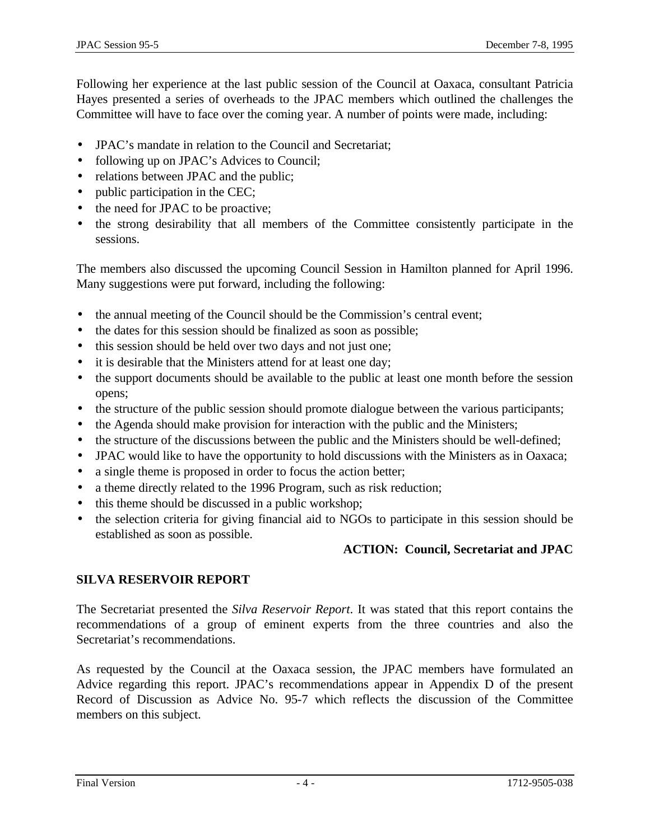Following her experience at the last public session of the Council at Oaxaca, consultant Patricia Hayes presented a series of overheads to the JPAC members which outlined the challenges the Committee will have to face over the coming year. A number of points were made, including:

- JPAC's mandate in relation to the Council and Secretariat;
- following up on JPAC's Advices to Council;
- relations between JPAC and the public;
- public participation in the CEC;
- the need for JPAC to be proactive;
- the strong desirability that all members of the Committee consistently participate in the sessions.

The members also discussed the upcoming Council Session in Hamilton planned for April 1996. Many suggestions were put forward, including the following:

- the annual meeting of the Council should be the Commission's central event;
- the dates for this session should be finalized as soon as possible;
- this session should be held over two days and not just one;
- it is desirable that the Ministers attend for at least one day;
- the support documents should be available to the public at least one month before the session opens;
- the structure of the public session should promote dialogue between the various participants;
- the Agenda should make provision for interaction with the public and the Ministers;
- the structure of the discussions between the public and the Ministers should be well-defined;
- JPAC would like to have the opportunity to hold discussions with the Ministers as in Oaxaca;
- a single theme is proposed in order to focus the action better;
- a theme directly related to the 1996 Program, such as risk reduction;
- this theme should be discussed in a public workshop;
- the selection criteria for giving financial aid to NGOs to participate in this session should be established as soon as possible.

# **ACTION: Council, Secretariat and JPAC**

# **SILVA RESERVOIR REPORT**

The Secretariat presented the *Silva Reservoir Report*. It was stated that this report contains the recommendations of a group of eminent experts from the three countries and also the Secretariat's recommendations.

As requested by the Council at the Oaxaca session, the JPAC members have formulated an Advice regarding this report. JPAC's recommendations appear in Appendix D of the present Record of Discussion as Advice No. 95-7 which reflects the discussion of the Committee members on this subject.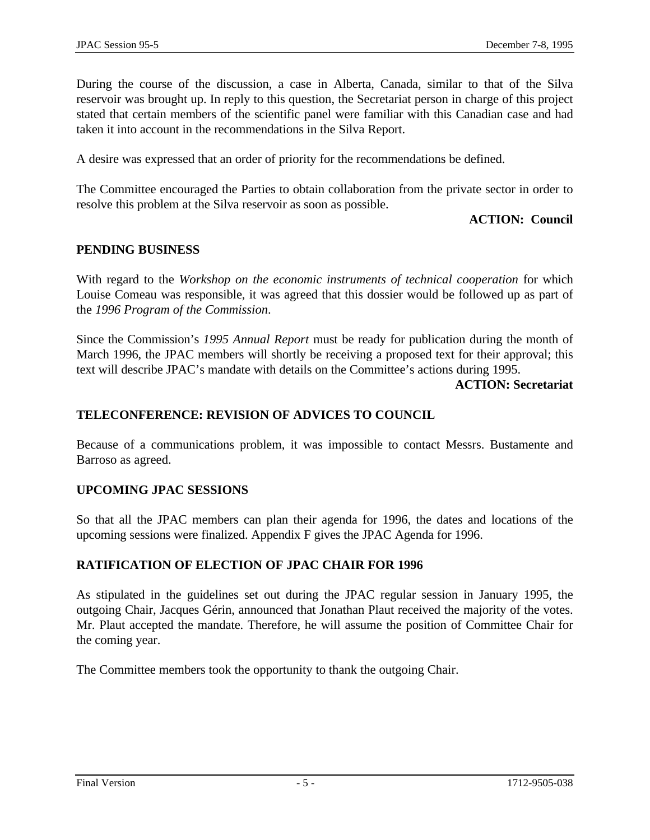During the course of the discussion, a case in Alberta, Canada, similar to that of the Silva reservoir was brought up. In reply to this question, the Secretariat person in charge of this project stated that certain members of the scientific panel were familiar with this Canadian case and had taken it into account in the recommendations in the Silva Report.

A desire was expressed that an order of priority for the recommendations be defined.

The Committee encouraged the Parties to obtain collaboration from the private sector in order to resolve this problem at the Silva reservoir as soon as possible.

## **ACTION: Council**

## **PENDING BUSINESS**

With regard to the *Workshop on the economic instruments of technical cooperation* for which Louise Comeau was responsible, it was agreed that this dossier would be followed up as part of the *1996 Program of the Commission*.

Since the Commission's *1995 Annual Report* must be ready for publication during the month of March 1996, the JPAC members will shortly be receiving a proposed text for their approval; this text will describe JPAC's mandate with details on the Committee's actions during 1995.

**ACTION: Secretariat**

# **TELECONFERENCE: REVISION OF ADVICES TO COUNCIL**

Because of a communications problem, it was impossible to contact Messrs. Bustamente and Barroso as agreed.

# **UPCOMING JPAC SESSIONS**

So that all the JPAC members can plan their agenda for 1996, the dates and locations of the upcoming sessions were finalized. Appendix F gives the JPAC Agenda for 1996.

# **RATIFICATION OF ELECTION OF JPAC CHAIR FOR 1996**

As stipulated in the guidelines set out during the JPAC regular session in January 1995, the outgoing Chair, Jacques Gérin, announced that Jonathan Plaut received the majority of the votes. Mr. Plaut accepted the mandate. Therefore, he will assume the position of Committee Chair for the coming year.

The Committee members took the opportunity to thank the outgoing Chair.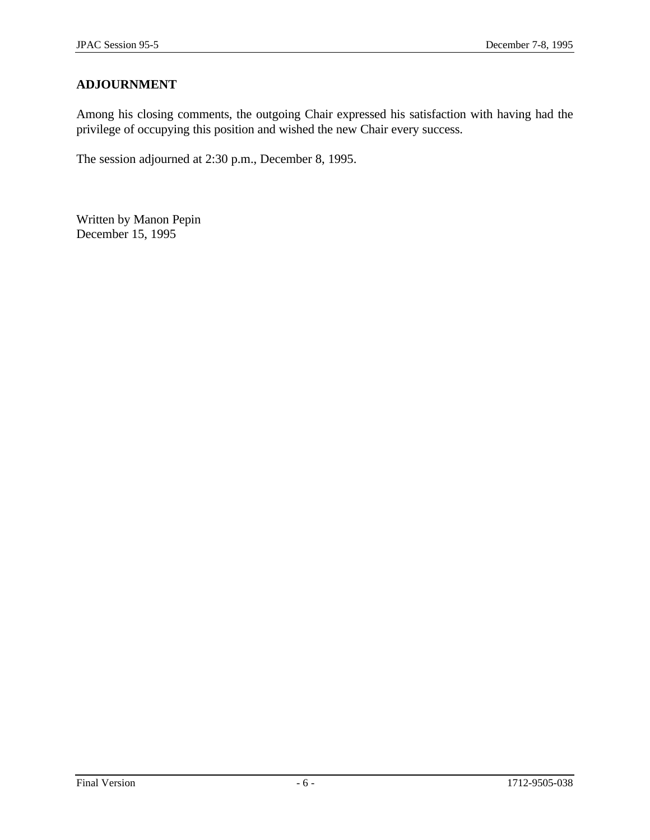# **ADJOURNMENT**

Among his closing comments, the outgoing Chair expressed his satisfaction with having had the privilege of occupying this position and wished the new Chair every success.

The session adjourned at 2:30 p.m., December 8, 1995.

Written by Manon Pepin December 15, 1995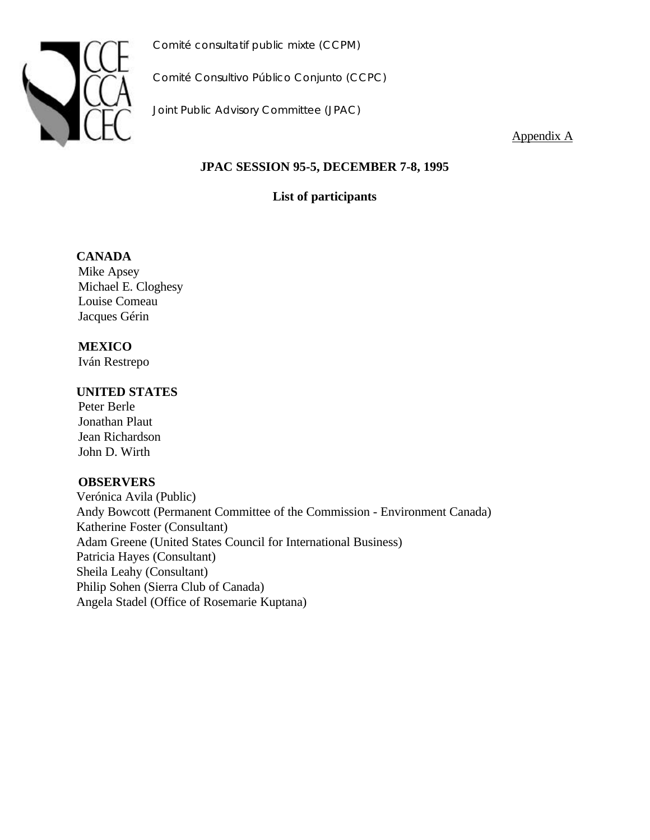

*Comité Consultivo Público Conjunto (CCPC)*

*Joint Public Advisory Committee (JPAC)*

Appendix A

# **JPAC SESSION 95-5, DECEMBER 7-8, 1995**

**List of participants**

# **CANADA**

Mike Apsey Michael E. Cloghesy Louise Comeau Jacques Gérin

# **MEXICO**

Iván Restrepo

## **UNITED STATES**

Peter Berle Jonathan Plaut Jean Richardson John D. Wirth

## **OBSERVERS**

Verónica Avila (Public) Andy Bowcott (Permanent Committee of the Commission - Environment Canada) Katherine Foster (Consultant) Adam Greene (United States Council for International Business) Patricia Hayes (Consultant) Sheila Leahy (Consultant) Philip Sohen (Sierra Club of Canada) Angela Stadel (Office of Rosemarie Kuptana)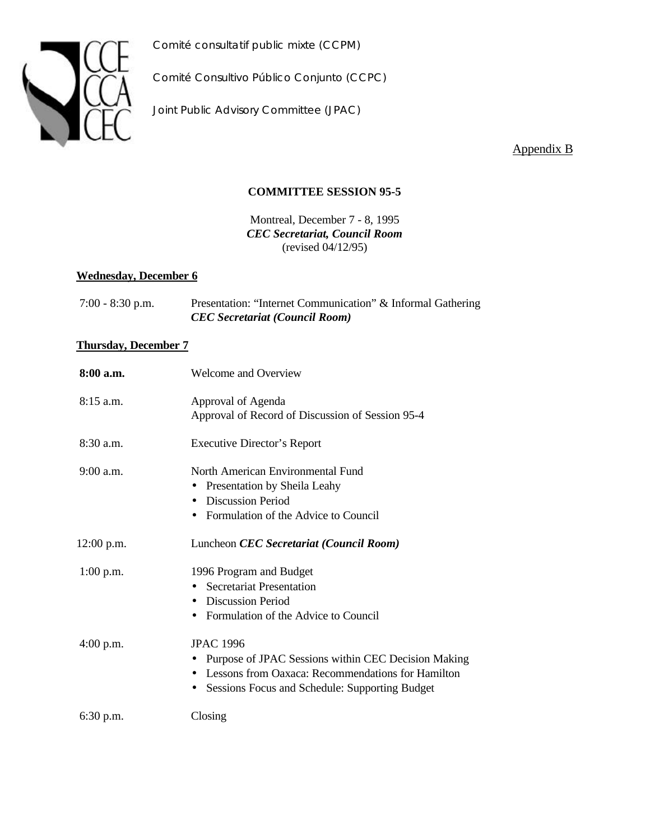

*Comité Consultivo Público Conjunto (CCPC)*

*Joint Public Advisory Committee (JPAC)*

Appendix B

## **COMMITTEE SESSION 95-5**

Montreal, December 7 - 8, 1995 *CEC Secretariat, Council Room* (revised 04/12/95)

## **Wednesday, December 6**

| $7:00 - 8:30$ p.m. | Presentation: "Internet Communication" & Informal Gathering |
|--------------------|-------------------------------------------------------------|
|                    | <b>CEC</b> Secretariat (Council Room)                       |

## **Thursday, December 7**

| 8:00 a.m.    | Welcome and Overview                                             |
|--------------|------------------------------------------------------------------|
| $8:15$ a.m.  | Approval of Agenda                                               |
|              | Approval of Record of Discussion of Session 95-4                 |
| 8:30 a.m.    | <b>Executive Director's Report</b>                               |
| $9:00$ a.m.  | North American Environmental Fund                                |
|              | Presentation by Sheila Leahy                                     |
|              | <b>Discussion Period</b><br>$\bullet$                            |
|              | • Formulation of the Advice to Council                           |
| $12:00$ p.m. | Luncheon CEC Secretariat (Council Room)                          |
| $1:00$ p.m.  | 1996 Program and Budget                                          |
|              | <b>Secretariat Presentation</b>                                  |
|              | <b>Discussion Period</b><br>$\bullet$                            |
|              | Formulation of the Advice to Council<br>$\bullet$                |
| $4:00$ p.m.  | <b>JPAC 1996</b>                                                 |
|              | Purpose of JPAC Sessions within CEC Decision Making<br>$\bullet$ |
|              | Lessons from Oaxaca: Recommendations for Hamilton                |
|              | • Sessions Focus and Schedule: Supporting Budget                 |
| 6:30 p.m.    | Closing                                                          |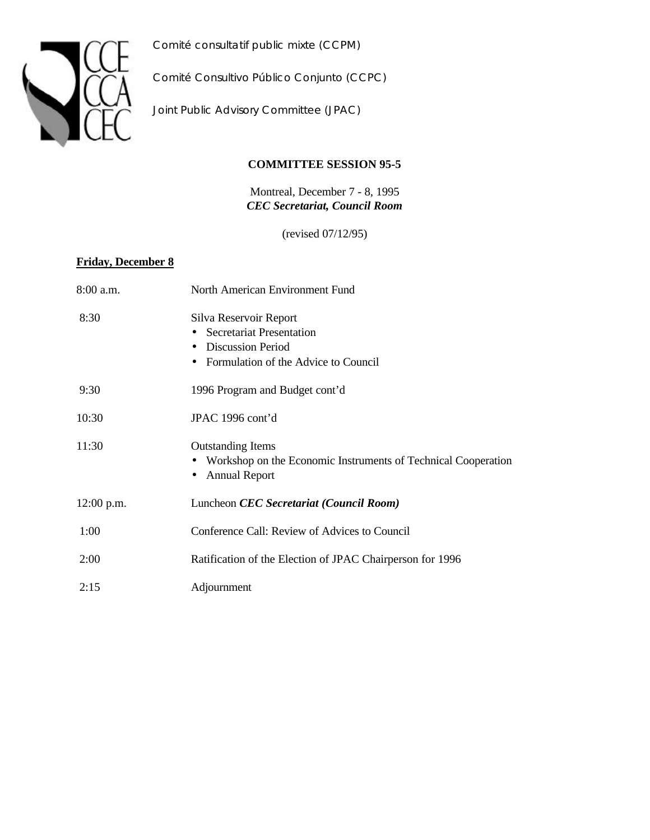

*Comité Consultivo Público Conjunto (CCPC)*

*Joint Public Advisory Committee (JPAC)*

## **COMMITTEE SESSION 95-5**

Montreal, December 7 - 8, 1995 *CEC Secretariat, Council Room*

(revised 07/12/95)

## **Friday, December 8**

| 8:00 a.m.    | North American Environment Fund                                                                                                                         |
|--------------|---------------------------------------------------------------------------------------------------------------------------------------------------------|
| 8:30         | Silva Reservoir Report<br><b>Secretariat Presentation</b><br><b>Discussion Period</b><br>$\bullet$<br>Formulation of the Advice to Council<br>$\bullet$ |
| 9:30         | 1996 Program and Budget cont'd                                                                                                                          |
| 10:30        | JPAC 1996 cont'd                                                                                                                                        |
| 11:30        | <b>Outstanding Items</b><br>• Workshop on the Economic Instruments of Technical Cooperation<br><b>Annual Report</b>                                     |
| $12:00$ p.m. | Luncheon CEC Secretariat (Council Room)                                                                                                                 |
| 1:00         | Conference Call: Review of Advices to Council                                                                                                           |
| 2:00         | Ratification of the Election of JPAC Chairperson for 1996                                                                                               |
| 2:15         | Adjournment                                                                                                                                             |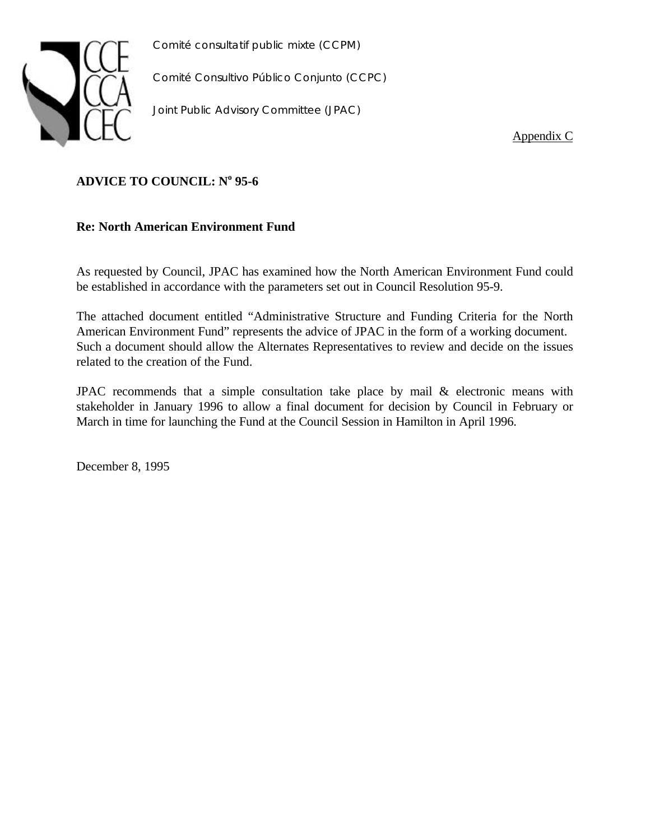

*Comité Consultivo Público Conjunto (CCPC)*

*Joint Public Advisory Committee (JPAC)*

Appendix C

## **ADVICE TO COUNCIL: N<sup>o</sup> 95-6**

## **Re: North American Environment Fund**

As requested by Council, JPAC has examined how the North American Environment Fund could be established in accordance with the parameters set out in Council Resolution 95-9.

The attached document entitled "Administrative Structure and Funding Criteria for the North American Environment Fund" represents the advice of JPAC in the form of a working document. Such a document should allow the Alternates Representatives to review and decide on the issues related to the creation of the Fund.

JPAC recommends that a simple consultation take place by mail & electronic means with stakeholder in January 1996 to allow a final document for decision by Council in February or March in time for launching the Fund at the Council Session in Hamilton in April 1996.

December 8, 1995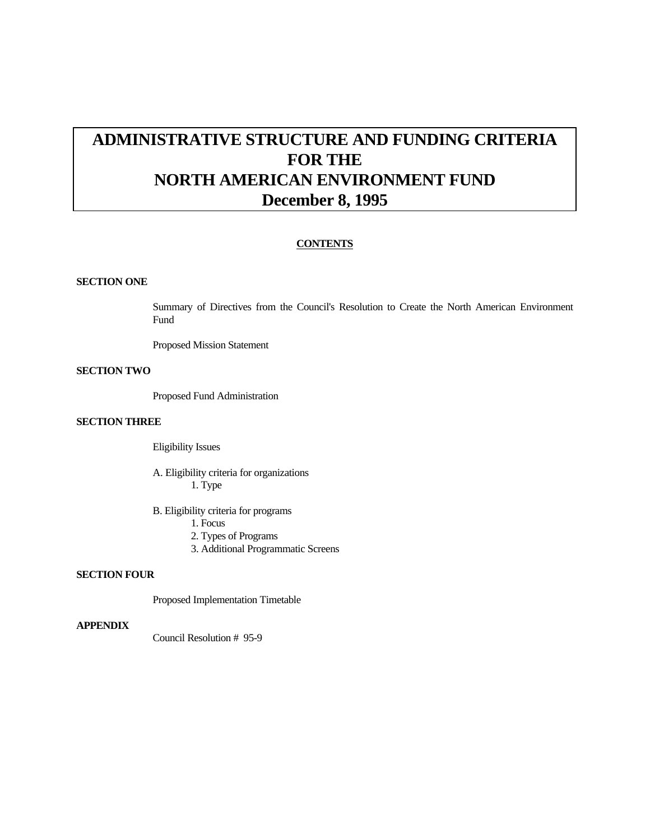# **ADMINISTRATIVE STRUCTURE AND FUNDING CRITERIA FOR THE NORTH AMERICAN ENVIRONMENT FUND December 8, 1995**

## **CONTENTS**

#### **SECTION ONE**

Summary of Directives from the Council's Resolution to Create the North American Environment Fund

Proposed Mission Statement

#### **SECTION TWO**

Proposed Fund Administration

### **SECTION THREE**

Eligibility Issues

A. Eligibility criteria for organizations 1. Type

B. Eligibility criteria for programs

- 1. Focus
- 2. Types of Programs
- 3. Additional Programmatic Screens

#### **SECTION FOUR**

Proposed Implementation Timetable

### **APPENDIX**

Council Resolution # 95-9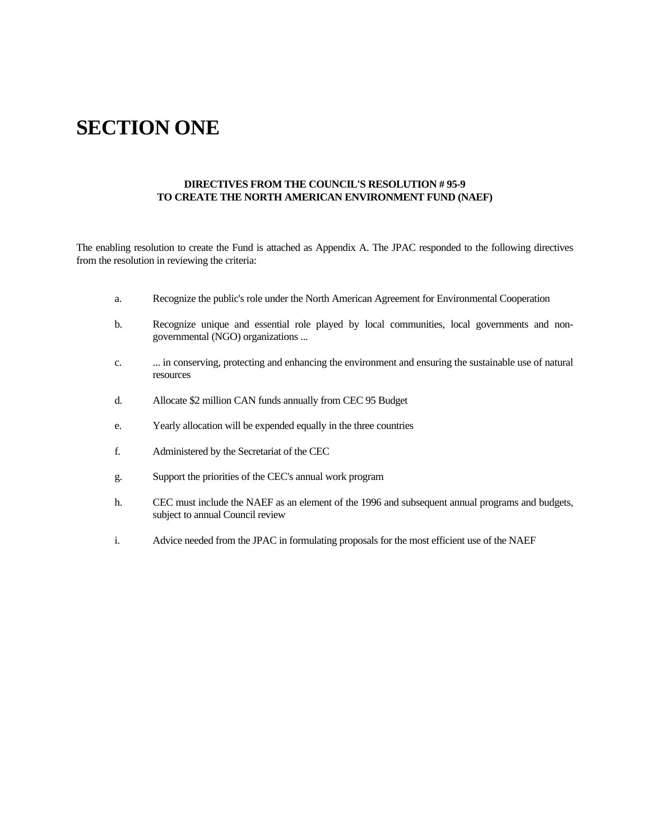# **SECTION ONE**

### **DIRECTIVES FROM THE COUNCIL'S RESOLUTION # 95-9 TO CREATE THE NORTH AMERICAN ENVIRONMENT FUND (NAEF)**

The enabling resolution to create the Fund is attached as Appendix A. The JPAC responded to the following directives from the resolution in reviewing the criteria:

- a. Recognize the public's role under the North American Agreement for Environmental Cooperation
- b. Recognize unique and essential role played by local communities, local governments and nongovernmental (NGO) organizations ...
- c. ... in conserving, protecting and enhancing the environment and ensuring the sustainable use of natural resources
- d. Allocate \$2 million CAN funds annually from CEC 95 Budget
- e. Yearly allocation will be expended equally in the three countries
- f. Administered by the Secretariat of the CEC
- g. Support the priorities of the CEC's annual work program
- h. CEC must include the NAEF as an element of the 1996 and subsequent annual programs and budgets, subject to annual Council review
- i. Advice needed from the JPAC in formulating proposals for the most efficient use of the NAEF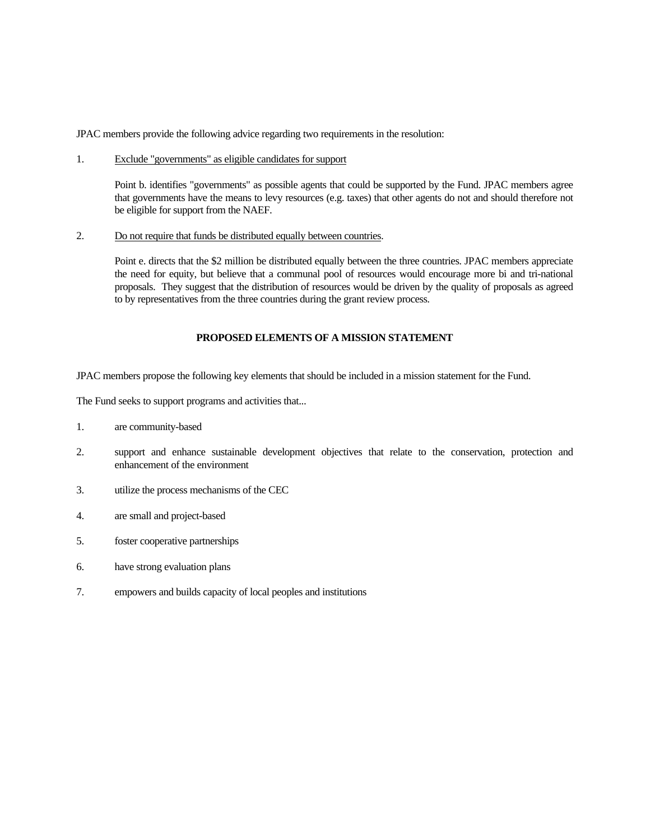JPAC members provide the following advice regarding two requirements in the resolution:

1. Exclude "governments" as eligible candidates for support

Point b. identifies "governments" as possible agents that could be supported by the Fund. JPAC members agree that governments have the means to levy resources (e.g. taxes) that other agents do not and should therefore not be eligible for support from the NAEF.

2. Do not require that funds be distributed equally between countries.

Point e. directs that the \$2 million be distributed equally between the three countries. JPAC members appreciate the need for equity, but believe that a communal pool of resources would encourage more bi and tri-national proposals. They suggest that the distribution of resources would be driven by the quality of proposals as agreed to by representatives from the three countries during the grant review process.

## **PROPOSED ELEMENTS OF A MISSION STATEMENT**

JPAC members propose the following key elements that should be included in a mission statement for the Fund.

The Fund seeks to support programs and activities that...

- 1. are community-based
- 2. support and enhance sustainable development objectives that relate to the conservation, protection and enhancement of the environment
- 3. utilize the process mechanisms of the CEC
- 4. are small and project-based
- 5. foster cooperative partnerships
- 6. have strong evaluation plans
- 7. empowers and builds capacity of local peoples and institutions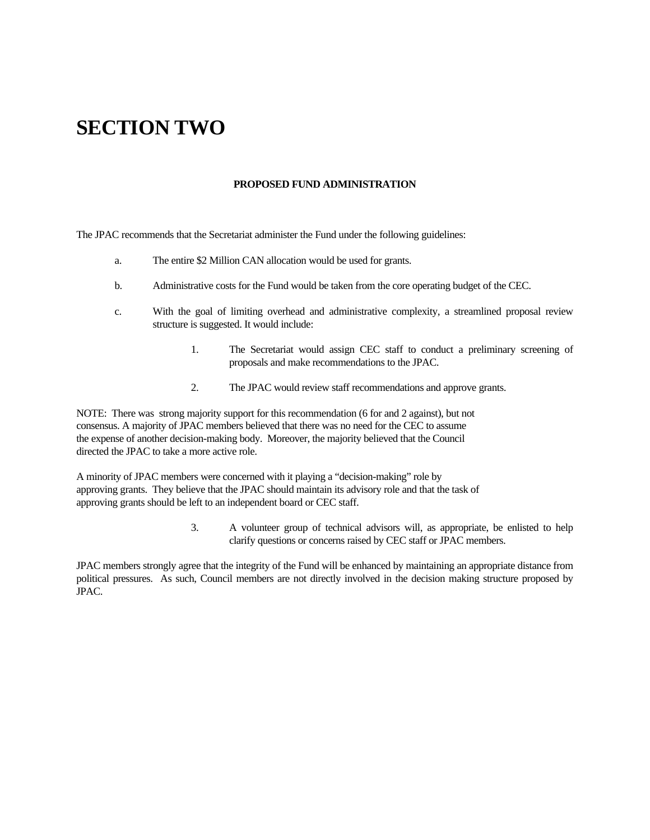# **SECTION TWO**

#### **PROPOSED FUND ADMINISTRATION**

The JPAC recommends that the Secretariat administer the Fund under the following guidelines:

- a. The entire \$2 Million CAN allocation would be used for grants.
- b. Administrative costs for the Fund would be taken from the core operating budget of the CEC.
- c. With the goal of limiting overhead and administrative complexity, a streamlined proposal review structure is suggested. It would include:
	- 1. The Secretariat would assign CEC staff to conduct a preliminary screening of proposals and make recommendations to the JPAC.
	- 2. The JPAC would review staff recommendations and approve grants.

NOTE: There was strong majority support for this recommendation (6 for and 2 against), but not consensus. A majority of JPAC members believed that there was no need for the CEC to assume the expense of another decision-making body. Moreover, the majority believed that the Council directed the JPAC to take a more active role.

A minority of JPAC members were concerned with it playing a "decision-making" role by approving grants. They believe that the JPAC should maintain its advisory role and that the task of approving grants should be left to an independent board or CEC staff.

> 3. A volunteer group of technical advisors will, as appropriate, be enlisted to help clarify questions or concerns raised by CEC staff or JPAC members.

JPAC members strongly agree that the integrity of the Fund will be enhanced by maintaining an appropriate distance from political pressures. As such, Council members are not directly involved in the decision making structure proposed by JPAC.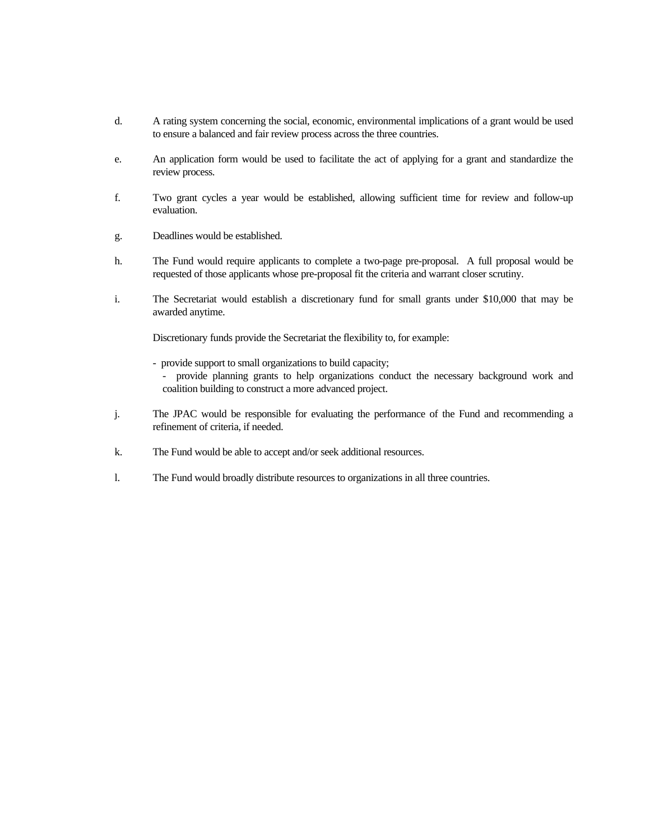- d. A rating system concerning the social, economic, environmental implications of a grant would be used to ensure a balanced and fair review process across the three countries.
- e. An application form would be used to facilitate the act of applying for a grant and standardize the review process.
- f. Two grant cycles a year would be established, allowing sufficient time for review and follow-up evaluation.
- g. Deadlines would be established.
- h. The Fund would require applicants to complete a two-page pre-proposal. A full proposal would be requested of those applicants whose pre-proposal fit the criteria and warrant closer scrutiny.
- i. The Secretariat would establish a discretionary fund for small grants under \$10,000 that may be awarded anytime.

Discretionary funds provide the Secretariat the flexibility to, for example:

- provide support to small organizations to build capacity;

- provide planning grants to help organizations conduct the necessary background work and coalition building to construct a more advanced project.

- j. The JPAC would be responsible for evaluating the performance of the Fund and recommending a refinement of criteria, if needed.
- k. The Fund would be able to accept and/or seek additional resources.
- l. The Fund would broadly distribute resources to organizations in all three countries.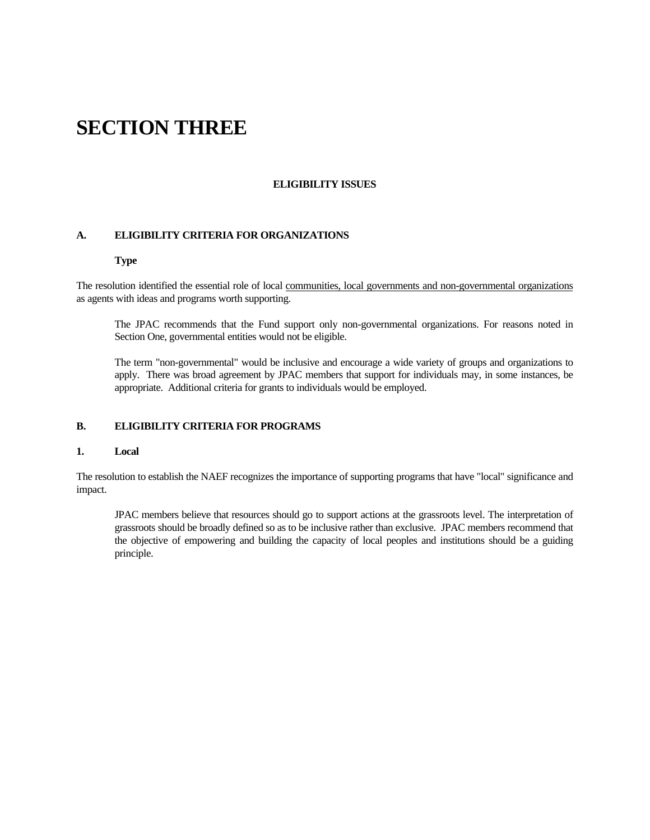# **SECTION THREE**

#### **ELIGIBILITY ISSUES**

#### **A. ELIGIBILITY CRITERIA FOR ORGANIZATIONS**

#### **Type**

The resolution identified the essential role of local communities, local governments and non-governmental organizations as agents with ideas and programs worth supporting.

The JPAC recommends that the Fund support only non-governmental organizations. For reasons noted in Section One, governmental entities would not be eligible.

The term "non-governmental" would be inclusive and encourage a wide variety of groups and organizations to apply. There was broad agreement by JPAC members that support for individuals may, in some instances, be appropriate. Additional criteria for grants to individuals would be employed.

### **B. ELIGIBILITY CRITERIA FOR PROGRAMS**

#### **1. Local**

The resolution to establish the NAEF recognizes the importance of supporting programs that have "local" significance and impact.

JPAC members believe that resources should go to support actions at the grassroots level. The interpretation of grassroots should be broadly defined so as to be inclusive rather than exclusive. JPAC members recommend that the objective of empowering and building the capacity of local peoples and institutions should be a guiding principle.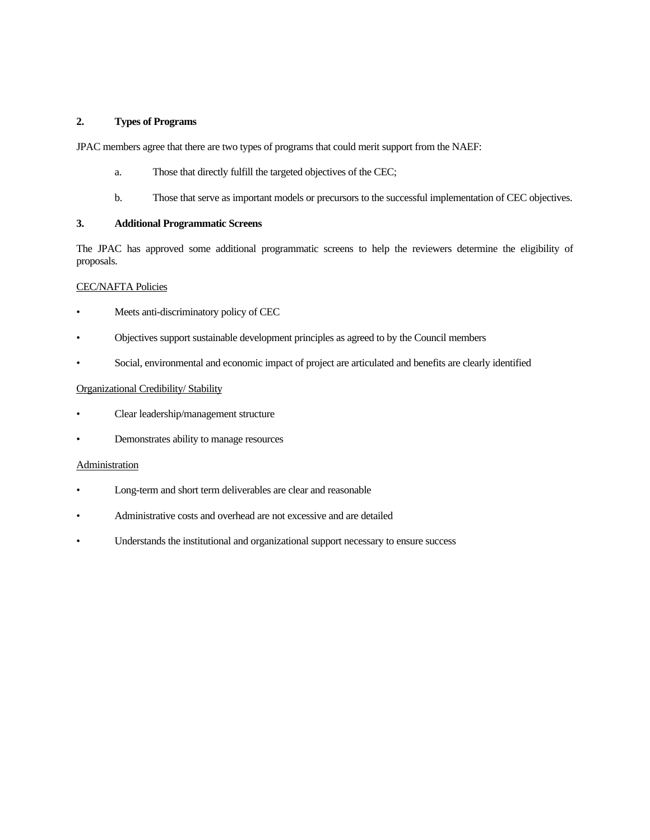### **2. Types of Programs**

JPAC members agree that there are two types of programs that could merit support from the NAEF:

- a. Those that directly fulfill the targeted objectives of the CEC;
- b. Those that serve as important models or precursors to the successful implementation of CEC objectives.

## **3. Additional Programmatic Screens**

The JPAC has approved some additional programmatic screens to help the reviewers determine the eligibility of proposals.

#### CEC/NAFTA Policies

- Meets anti-discriminatory policy of CEC
- Objectives support sustainable development principles as agreed to by the Council members
- Social, environmental and economic impact of project are articulated and benefits are clearly identified

#### Organizational Credibility/ Stability

- Clear leadership/management structure
- Demonstrates ability to manage resources

#### Administration

- Long-term and short term deliverables are clear and reasonable
- Administrative costs and overhead are not excessive and are detailed
- Understands the institutional and organizational support necessary to ensure success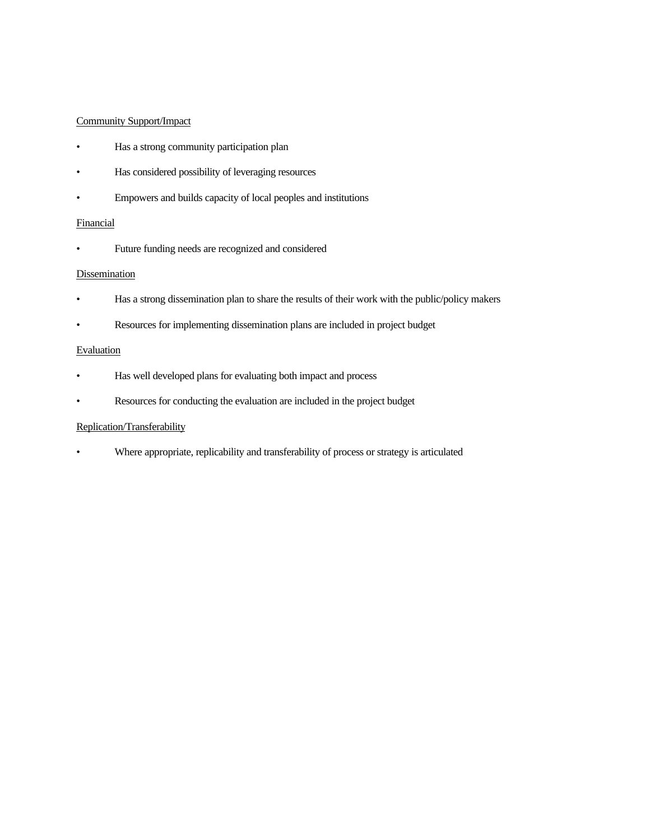## Community Support/Impact

- Has a strong community participation plan
- Has considered possibility of leveraging resources
- Empowers and builds capacity of local peoples and institutions

### Financial

• Future funding needs are recognized and considered

## **Dissemination**

- Has a strong dissemination plan to share the results of their work with the public/policy makers
- Resources for implementing dissemination plans are included in project budget

### **Evaluation**

- Has well developed plans for evaluating both impact and process
- Resources for conducting the evaluation are included in the project budget

## Replication/Transferability

• Where appropriate, replicability and transferability of process or strategy is articulated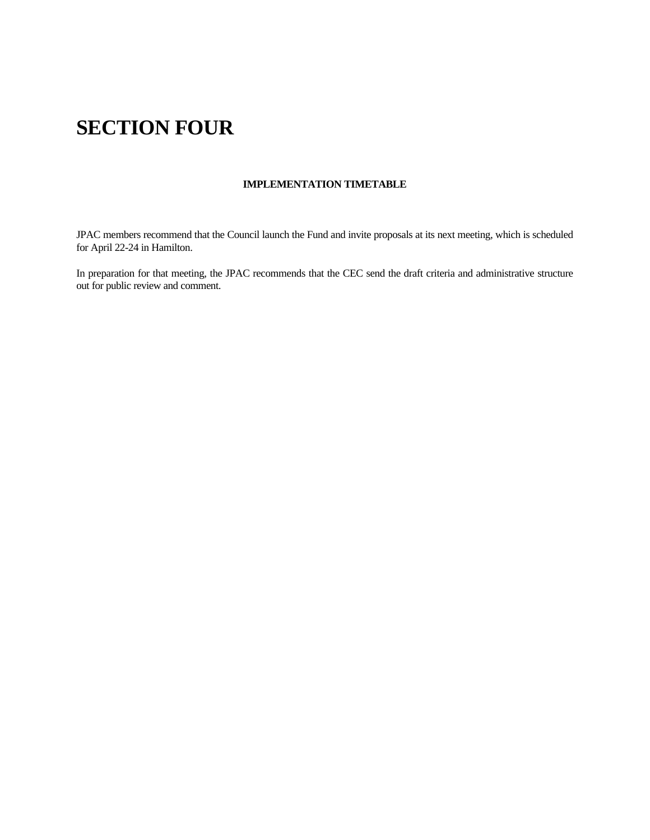# **SECTION FOUR**

## **IMPLEMENTATION TIMETABLE**

JPAC members recommend that the Council launch the Fund and invite proposals at its next meeting, which is scheduled for April 22-24 in Hamilton.

In preparation for that meeting, the JPAC recommends that the CEC send the draft criteria and administrative structure out for public review and comment.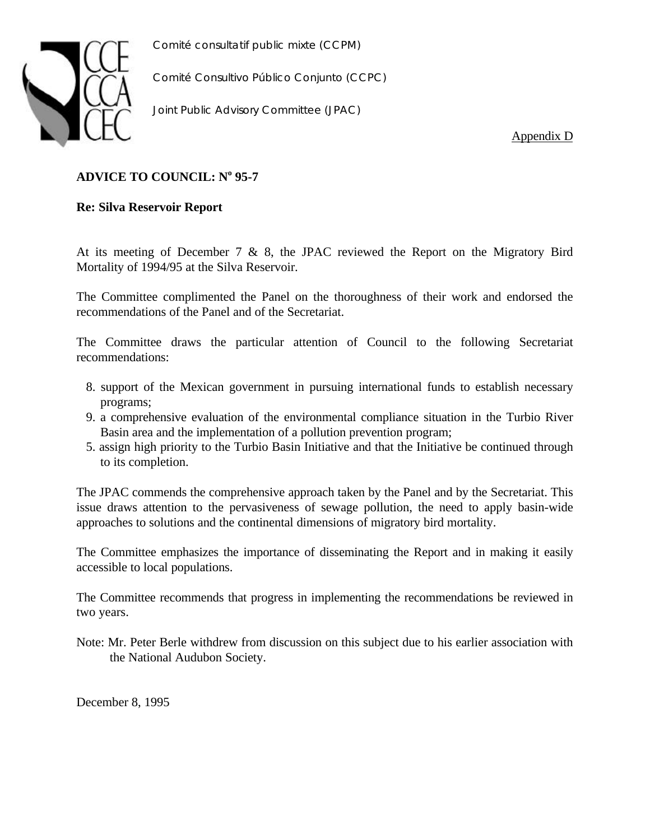

*Comité Consultivo Público Conjunto (CCPC)*

*Joint Public Advisory Committee (JPAC)*

Appendix D

## **ADVICE TO COUNCIL: N<sup>o</sup> 95-7**

## **Re: Silva Reservoir Report**

At its meeting of December 7 & 8, the JPAC reviewed the Report on the Migratory Bird Mortality of 1994/95 at the Silva Reservoir.

The Committee complimented the Panel on the thoroughness of their work and endorsed the recommendations of the Panel and of the Secretariat.

The Committee draws the particular attention of Council to the following Secretariat recommendations:

- 8. support of the Mexican government in pursuing international funds to establish necessary programs;
- 9. a comprehensive evaluation of the environmental compliance situation in the Turbio River Basin area and the implementation of a pollution prevention program;
- 5. assign high priority to the Turbio Basin Initiative and that the Initiative be continued through to its completion.

The JPAC commends the comprehensive approach taken by the Panel and by the Secretariat. This issue draws attention to the pervasiveness of sewage pollution, the need to apply basin-wide approaches to solutions and the continental dimensions of migratory bird mortality.

The Committee emphasizes the importance of disseminating the Report and in making it easily accessible to local populations.

The Committee recommends that progress in implementing the recommendations be reviewed in two years.

Note: Mr. Peter Berle withdrew from discussion on this subject due to his earlier association with the National Audubon Society.

December 8, 1995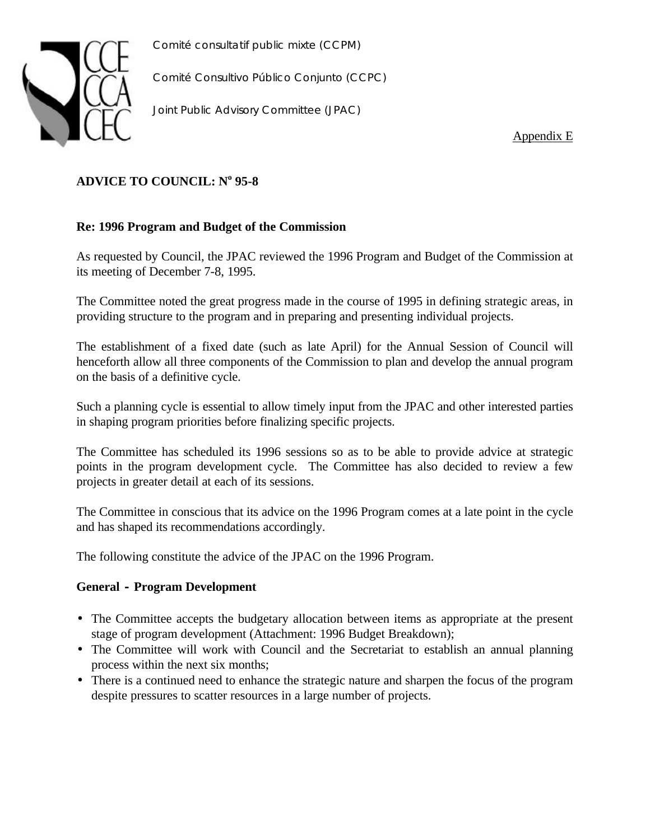

*Comité Consultivo Público Conjunto (CCPC)*

*Joint Public Advisory Committee (JPAC)*

Appendix E

# **ADVICE TO COUNCIL: N<sup>o</sup> 95-8**

## **Re: 1996 Program and Budget of the Commission**

As requested by Council, the JPAC reviewed the 1996 Program and Budget of the Commission at its meeting of December 7-8, 1995.

The Committee noted the great progress made in the course of 1995 in defining strategic areas, in providing structure to the program and in preparing and presenting individual projects.

The establishment of a fixed date (such as late April) for the Annual Session of Council will henceforth allow all three components of the Commission to plan and develop the annual program on the basis of a definitive cycle.

Such a planning cycle is essential to allow timely input from the JPAC and other interested parties in shaping program priorities before finalizing specific projects.

The Committee has scheduled its 1996 sessions so as to be able to provide advice at strategic points in the program development cycle. The Committee has also decided to review a few projects in greater detail at each of its sessions.

The Committee in conscious that its advice on the 1996 Program comes at a late point in the cycle and has shaped its recommendations accordingly.

The following constitute the advice of the JPAC on the 1996 Program.

## **General - Program Development**

- The Committee accepts the budgetary allocation between items as appropriate at the present stage of program development (Attachment: 1996 Budget Breakdown);
- The Committee will work with Council and the Secretariat to establish an annual planning process within the next six months;
- There is a continued need to enhance the strategic nature and sharpen the focus of the program despite pressures to scatter resources in a large number of projects.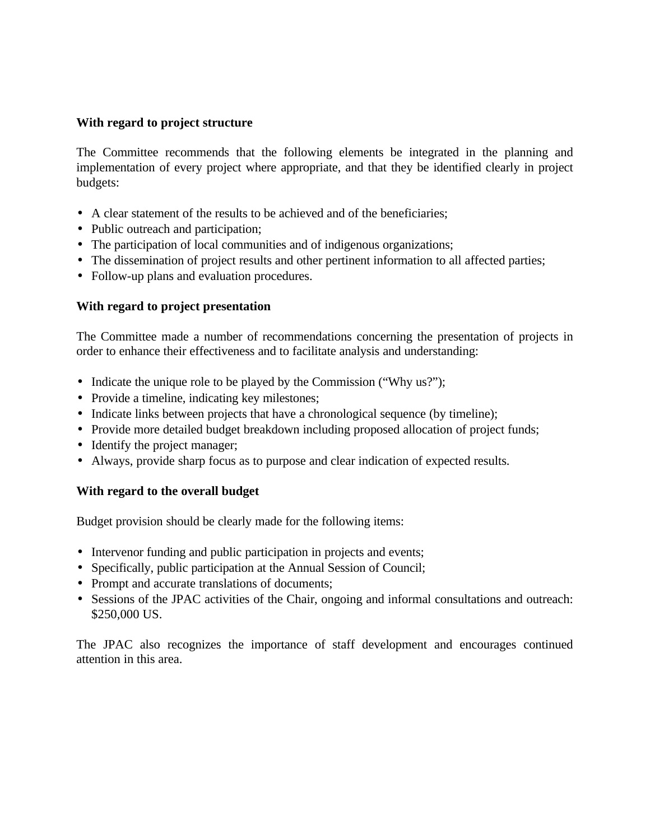## **With regard to project structure**

The Committee recommends that the following elements be integrated in the planning and implementation of every project where appropriate, and that they be identified clearly in project budgets:

- A clear statement of the results to be achieved and of the beneficiaries;
- Public outreach and participation;
- The participation of local communities and of indigenous organizations;
- The dissemination of project results and other pertinent information to all affected parties;
- Follow-up plans and evaluation procedures.

## **With regard to project presentation**

The Committee made a number of recommendations concerning the presentation of projects in order to enhance their effectiveness and to facilitate analysis and understanding:

- Indicate the unique role to be played by the Commission ("Why us?");
- Provide a timeline, indicating key milestones;
- Indicate links between projects that have a chronological sequence (by timeline);
- Provide more detailed budget breakdown including proposed allocation of project funds;
- Identify the project manager;
- Always, provide sharp focus as to purpose and clear indication of expected results.

## **With regard to the overall budget**

Budget provision should be clearly made for the following items:

- Intervenor funding and public participation in projects and events;
- Specifically, public participation at the Annual Session of Council;
- Prompt and accurate translations of documents;
- Sessions of the JPAC activities of the Chair, ongoing and informal consultations and outreach: \$250,000 US.

The JPAC also recognizes the importance of staff development and encourages continued attention in this area.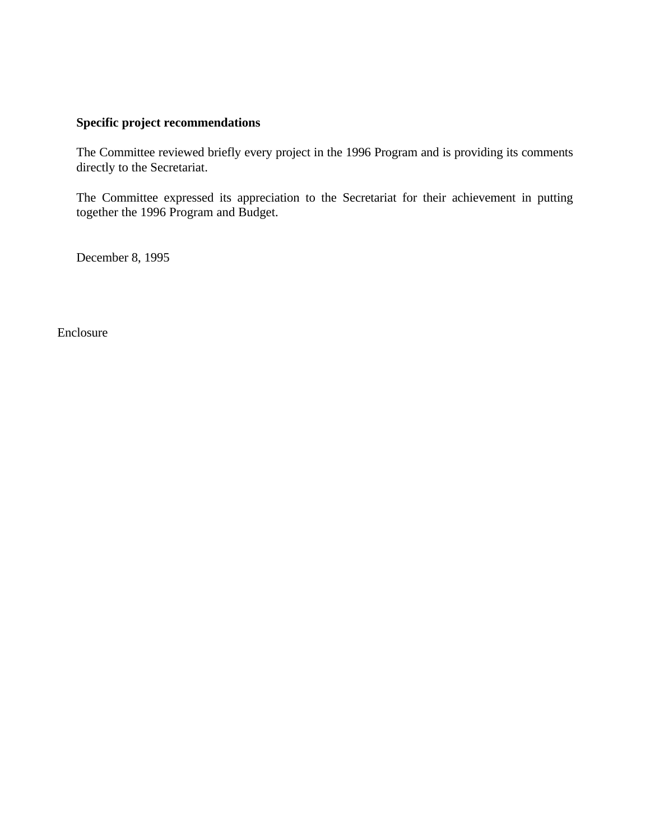## **Specific project recommendations**

The Committee reviewed briefly every project in the 1996 Program and is providing its comments directly to the Secretariat.

The Committee expressed its appreciation to the Secretariat for their achievement in putting together the 1996 Program and Budget.

December 8, 1995

Enclosure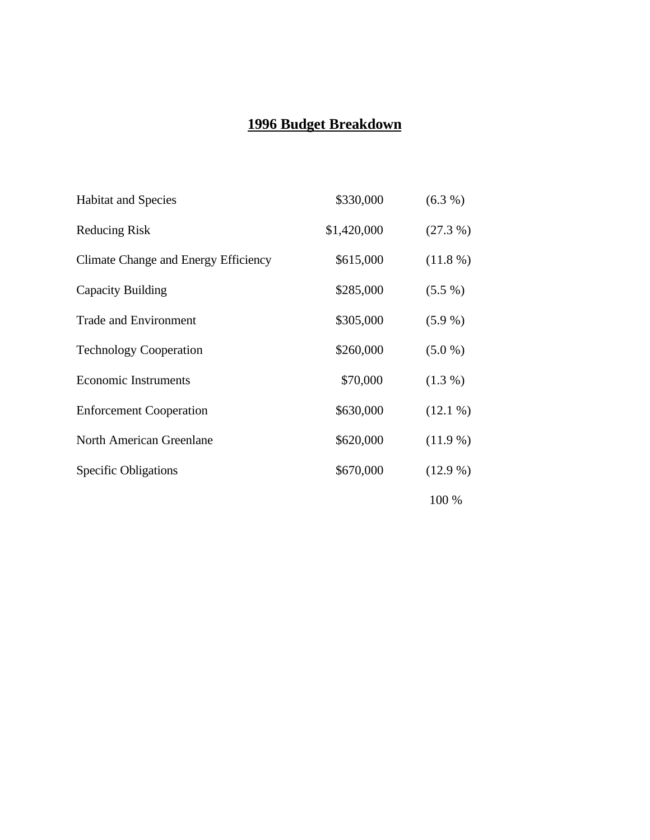# **1996 Budget Breakdown**

| <b>Habitat and Species</b>           | \$330,000   | $(6.3\%)$  |
|--------------------------------------|-------------|------------|
| <b>Reducing Risk</b>                 | \$1,420,000 | $(27.3\%)$ |
| Climate Change and Energy Efficiency | \$615,000   | $(11.8\%)$ |
| Capacity Building                    | \$285,000   | $(5.5\%)$  |
| <b>Trade and Environment</b>         | \$305,000   | $(5.9\%)$  |
| <b>Technology Cooperation</b>        | \$260,000   | (5.0 %)    |
| <b>Economic Instruments</b>          | \$70,000    | $(1.3\%)$  |
| <b>Enforcement Cooperation</b>       | \$630,000   | $(12.1\%)$ |
| <b>North American Greenlane</b>      | \$620,000   | $(11.9\%)$ |
| <b>Specific Obligations</b>          | \$670,000   | $(12.9\%)$ |
|                                      |             | 100 %      |